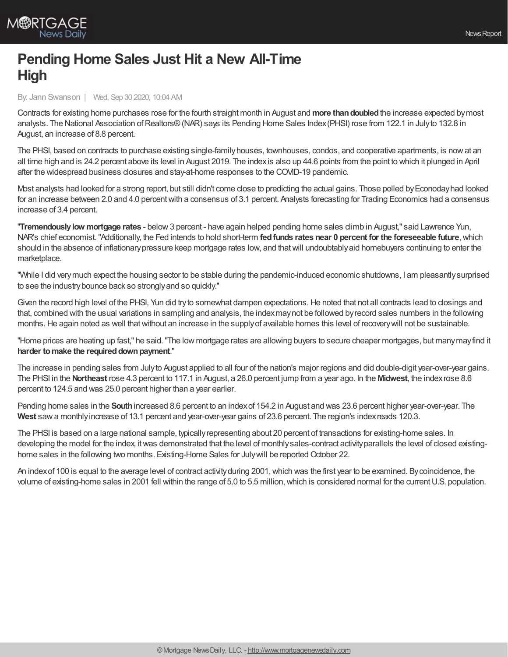

## **Pending Home Sales Just Hit a New All-Time High**

By: Jann Swanson | Wed, Sep 30 2020, 10:04 AM

Contracts for existing home purchases rose for the fourth straight month in August and **more thandoubled**the increase expected bymost analysts. The National Association of Realtors® (NAR) says its Pending Home Sales Index (PHSI) rose from 122.1 in July to 132.8 in August, an increase of 8.8 percent.

The PHSI, based on contracts to purchase existing single-familyhouses, townhouses, condos, and cooperative apartments, is nowat an all time high and is 24.2 percent above its level in August 2019. The indexis also up 44.6 points from the point to which it plunged in April after the widespread business closures and stay-at-home responses to the COVID-19 pandemic.

Most analysts had looked for a strong report, but still didn't come close to predicting the actual gains. Those polled byEconodayhad looked for an increase between 2.0 and 4.0 percentwith a consensus of 3.1 percent. Analysts forecasting for Trading Economics had a consensus increase of 3.4 percent.

"**Tremendouslylow mortgage rates** - below3 percent - have again helped pending home sales climb in August," said Lawrence Yun, NAR's chief economist."Additionally, the Fed intends to hold short-term **fedfunds rates near 0 percent for the foreseeable future**,which should in the absence of inflationary pressure keep mortgage rates low, and that will undoubtably aid homebuyers continuing to enter the marketplace.

"While I did verymuch expect the housing sector to be stable during the pandemic-induced economic shutdowns, I am pleasantlysurprised to see the industrybounce back so stronglyand so quickly."

Given the record high level of the PHSI, Yun did try to somewhat dampen expectations. He noted that not all contracts lead to closings and that, combined with the usual variations in sampling and analysis, the indexmaynot be followed byrecord sales numbers in the following months.He again noted as well thatwithout an increase in the supplyof available homes this level of recoverywill not be sustainable.

"Home prices are heating up fast," he said."The low mortgage rates are allowing buyers to secure cheaper mortgages, but manymayfind it **harder to make the required down payment."** 

The increase in pending sales from Julyto August applied to all four of the nation's major regions and did double-digit year-over-year gains. The PHSI in the **Northeast** rose 4.3 percent to 117.1 in August, a 26.0 percent jump from a year ago. In the **Midwest**, the indexrose 8.6 percent to 124.5 and was 25.0 percent higher than a year earlier.

Pending home sales in the **South**increased 8.6 percent to an indexof 154.2 in August and was 23.6 percent higher year-over-year. The **West** sawa monthlyincrease of 13.1 percent and year-over-year gains of 23.6 percent. The region's indexreads 120.3.

The PHSI is based on a large national sample, typicallyrepresenting about 20 percent of transactions for existing-home sales. In developing the model for the index, itwas demonstrated that the level of monthlysales-contract activityparallels the level of closed existinghome sales in the following two months. Existing-Home Sales for July will be reported October 22.

An index of 100 is equal to the average level of contract activity during 2001, which was the first year to be examined. By coincidence, the volume of existing-home sales in 2001 fell within the range of 5.0 to 5.5 million,which is considered normal for the currentU.S. population.